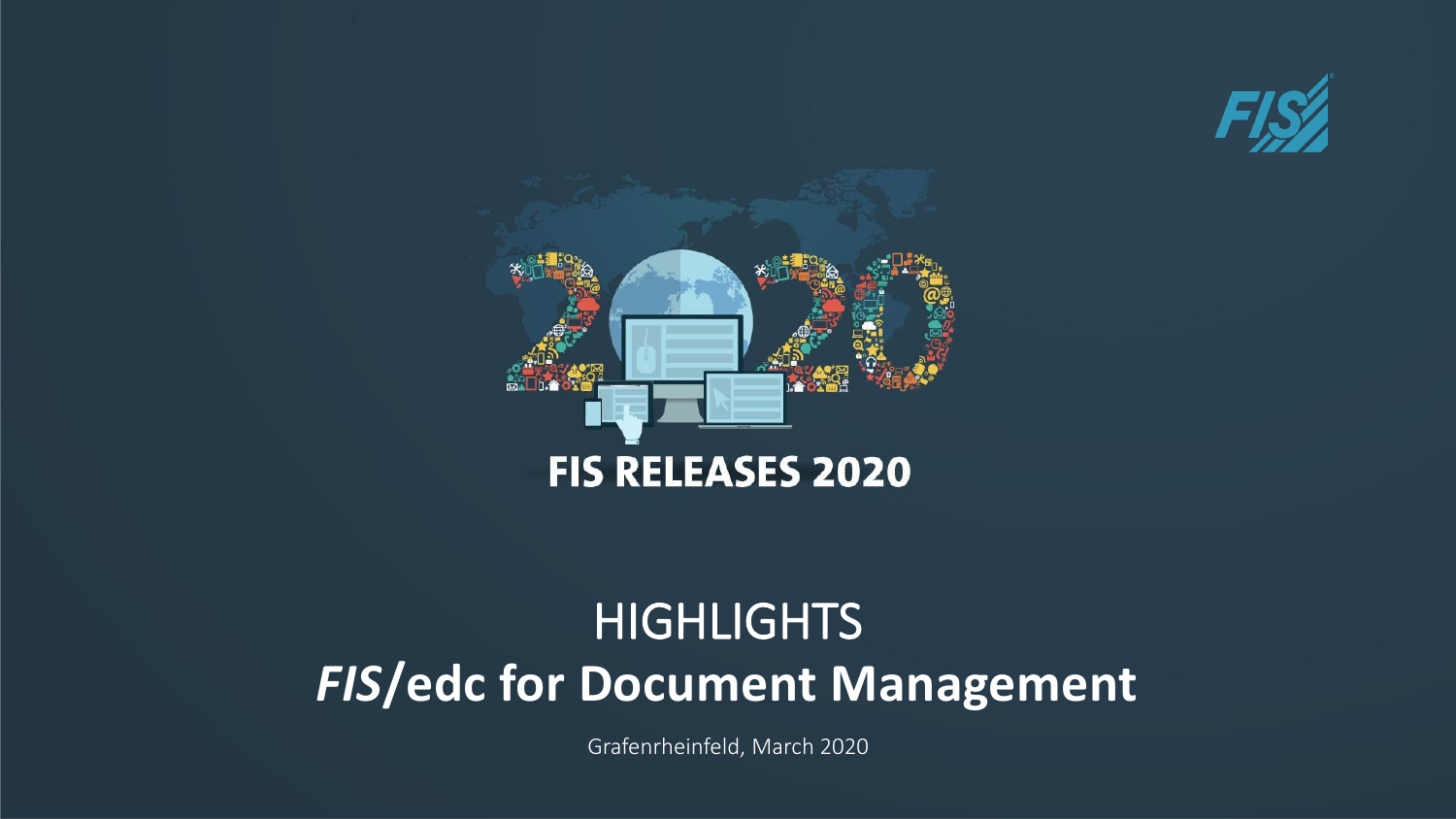



# *FIS***/edc for Document Management HIGHLIGHTS**

Grafenrheinfeld, March 2020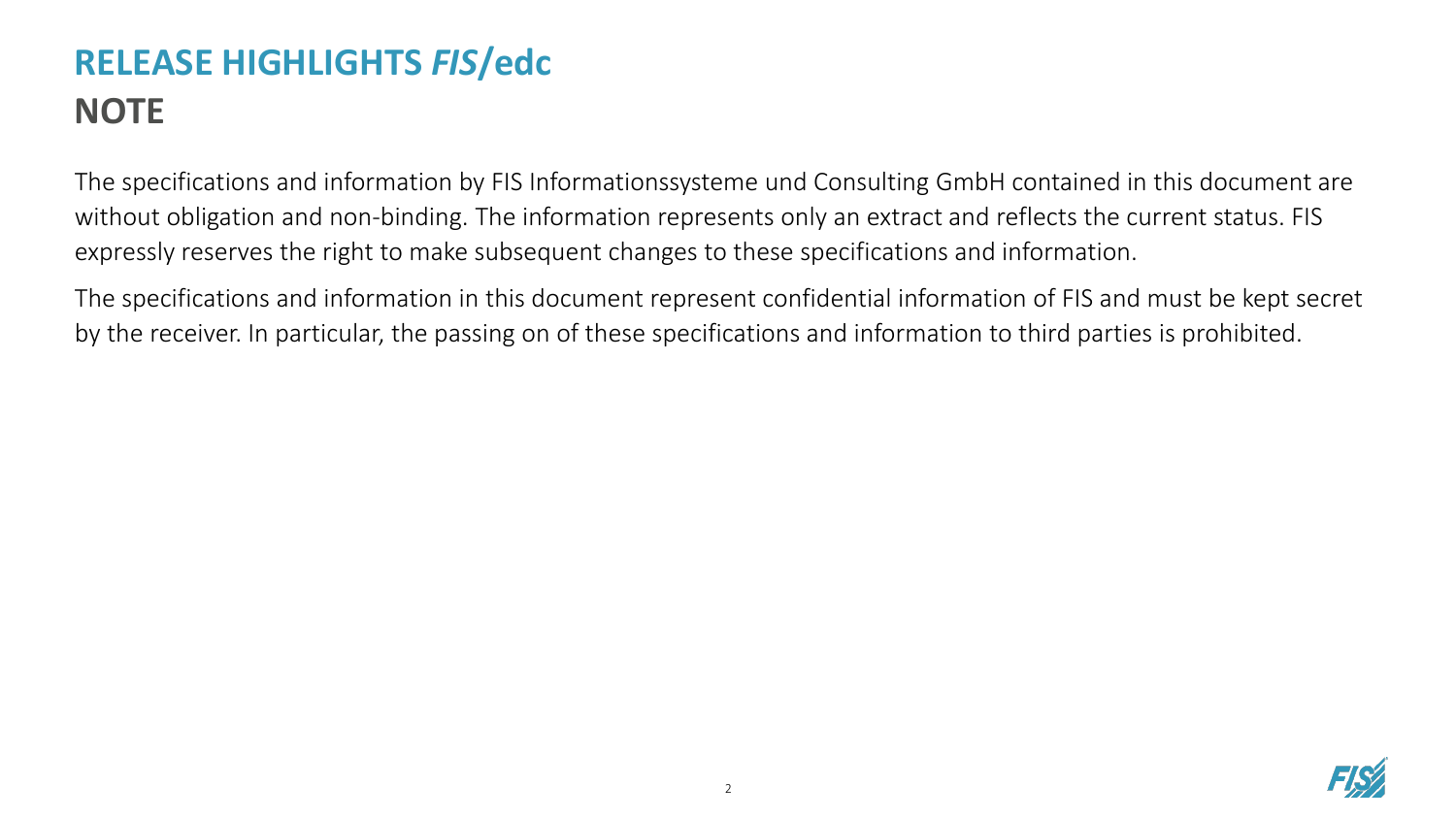# **RELEASE HIGHLIGHTS** *FIS***/edc NOTE**

The specifications and information by FIS Informationssysteme und Consulting GmbH contained in this document are without obligation and non-binding. The information represents only an extract and reflects the current status. FIS expressly reserves the right to make subsequent changes to these specifications and information.

The specifications and information in this document represent confidential information of FIS and must be kept secret by the receiver. In particular, the passing on of these specifications and information to third parties is prohibited.

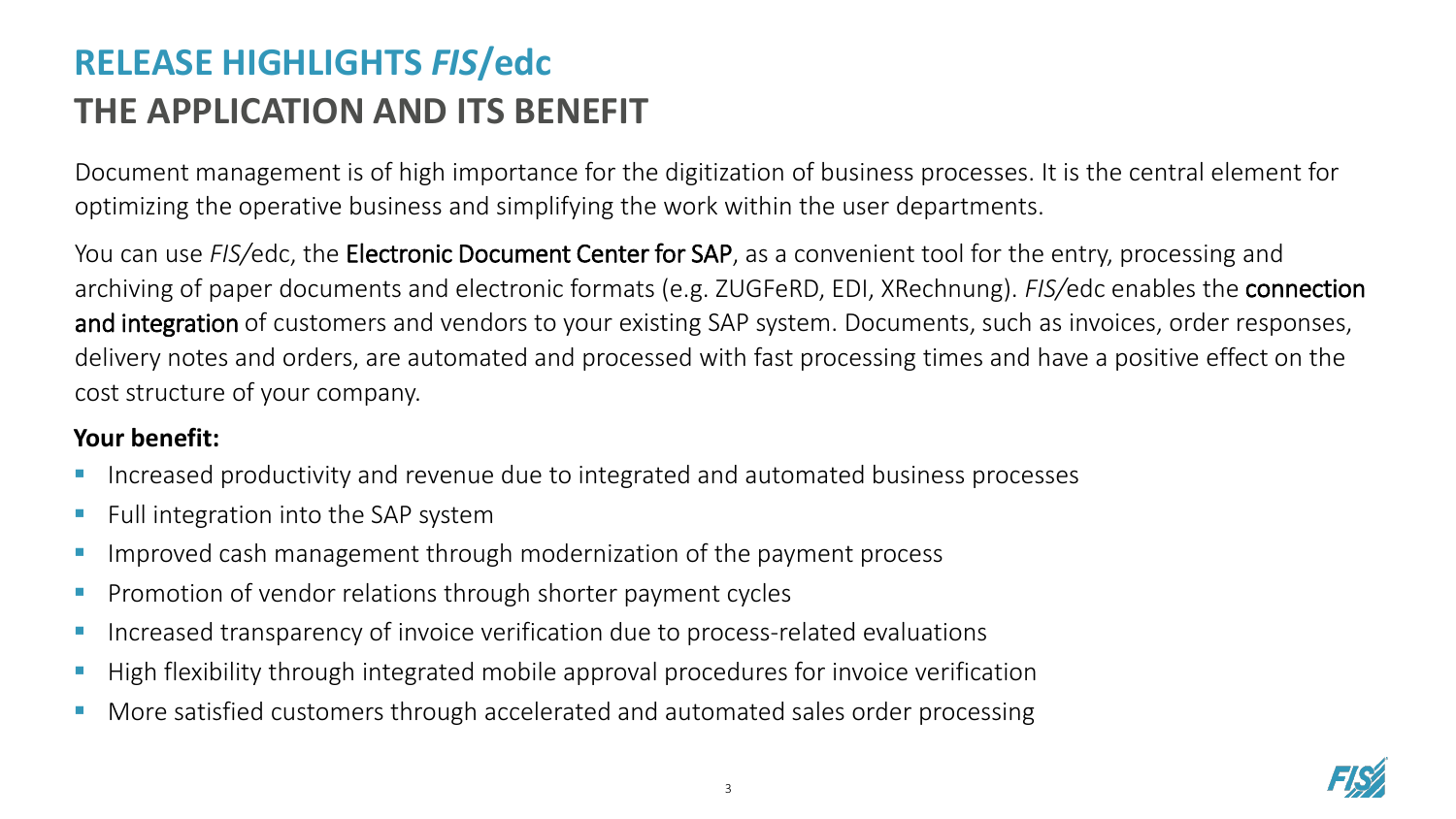# **RELEASE HIGHLIGHTS** *FIS***/edc THE APPLICATION AND ITS BENEFIT**

Document management is of high importance for the digitization of business processes. It is the central element for optimizing the operative business and simplifying the work within the user departments.

You can use *FIS/*edc, the Electronic Document Center for SAP, as a convenient tool for the entry, processing and archiving of paper documents and electronic formats (e.g. ZUGFeRD, EDI, XRechnung). *FIS/*edc enables the connection and integration of customers and vendors to your existing SAP system. Documents, such as invoices, order responses, delivery notes and orders, are automated and processed with fast processing times and have a positive effect on the cost structure of your company.

#### **Your benefit:**

- Increased productivity and revenue due to integrated and automated business processes
- Full integration into the SAP system
- Improved cash management through modernization of the payment process
- Promotion of vendor relations through shorter payment cycles
- Increased transparency of invoice verification due to process-related evaluations
- High flexibility through integrated mobile approval procedures for invoice verification
- More satisfied customers through accelerated and automated sales order processing

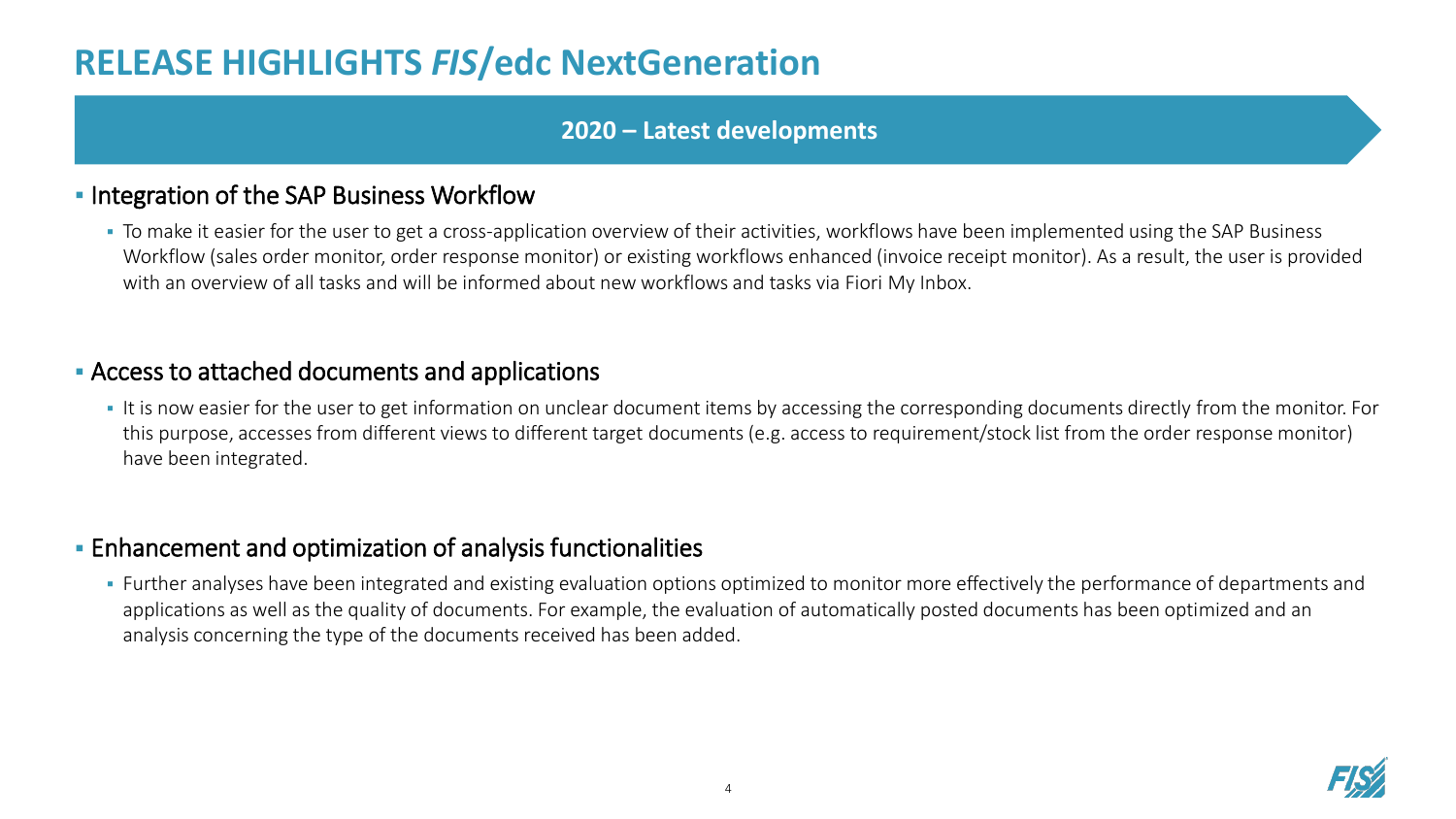## **RELEASE HIGHLIGHTS** *FIS***/edc NextGeneration**

#### **2020 – Latest developments**

#### **. Integration of the SAP Business Workflow**

• To make it easier for the user to get a cross-application overview of their activities, workflows have been implemented using the SAP Business Workflow (sales order monitor, order response monitor) or existing workflows enhanced (invoice receipt monitor). As a result, the user is provided with an overview of all tasks and will be informed about new workflows and tasks via Fiori My Inbox.

#### ▪ Access to attached documents and applications

It is now easier for the user to get information on unclear document items by accessing the corresponding documents directly from the monitor. For this purpose, accesses from different views to different target documents (e.g. access to requirement/stock list from the order response monitor) have been integrated.

#### **Enhancement and optimization of analysis functionalities**

**·** Further analyses have been integrated and existing evaluation options optimized to monitor more effectively the performance of departments and applications as well as the quality of documents. For example, the evaluation of automatically posted documents has been optimized and an analysis concerning the type of the documents received has been added.

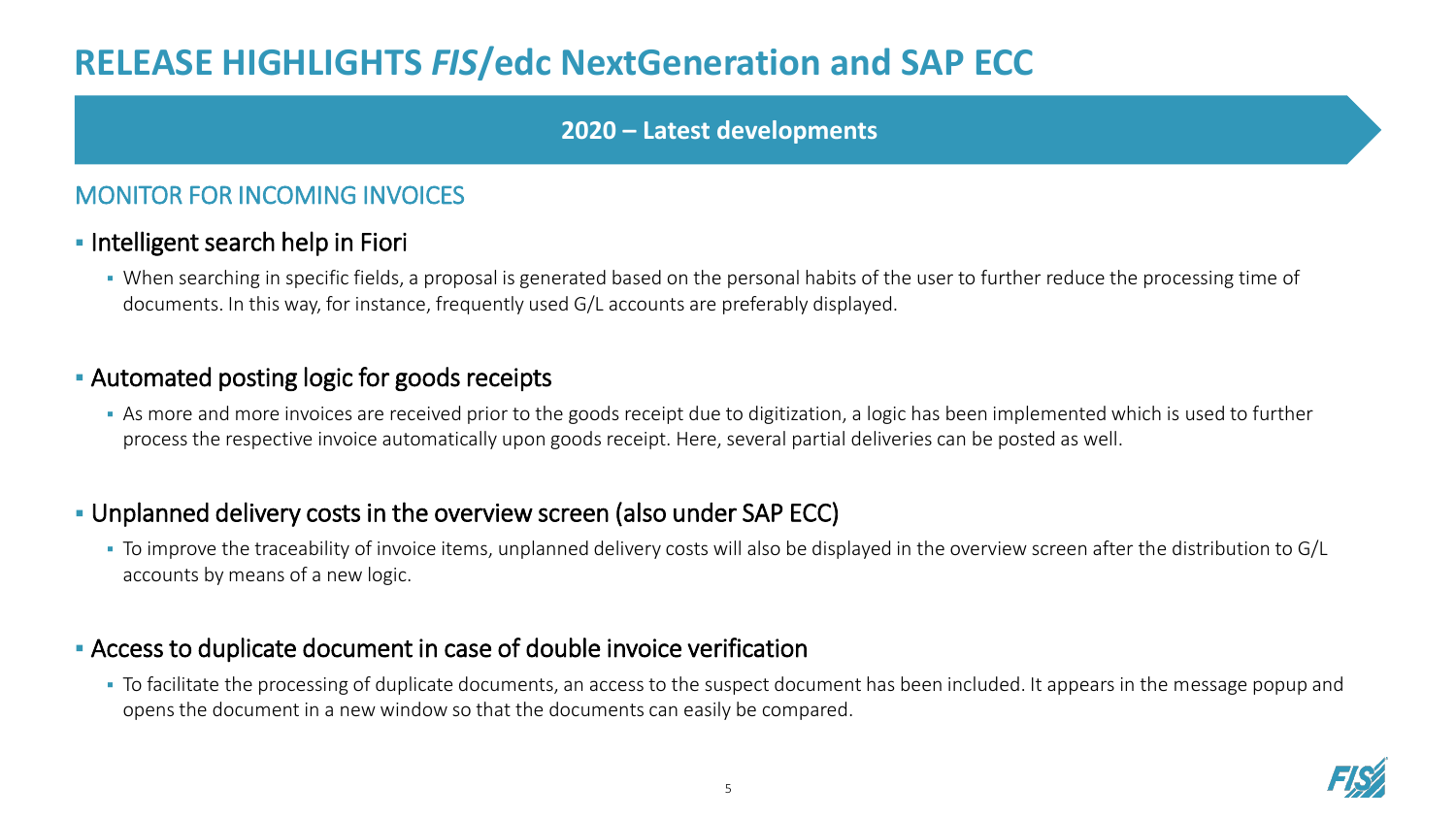## **RELEASE HIGHLIGHTS** *FIS***/edc NextGeneration and SAP ECC**

#### **2020 – Latest developments**

#### MONITOR FOR INCOMING INVOICES

#### **• Intelligent search help in Fiori**

▪ When searching in specific fields, a proposal is generated based on the personal habits of the user to further reduce the processing time of documents. In this way, for instance, frequently used G/L accounts are preferably displayed.

#### **EXEC** - Automated posting logic for goods receipts

■ As more and more invoices are received prior to the goods receipt due to digitization, a logic has been implemented which is used to further process the respective invoice automatically upon goods receipt. Here, several partial deliveries can be posted as well.

#### ▪ Unplanned delivery costs in the overview screen (also under SAP ECC)

▪ To improve the traceability of invoice items, unplanned delivery costs will also be displayed in the overview screen after the distribution to G/L accounts by means of a new logic.

#### **EXEC** Access to duplicate document in case of double invoice verification

▪ To facilitate the processing of duplicate documents, an access to the suspect document has been included. It appears in the message popup and opens the document in a new window so that the documents can easily be compared.

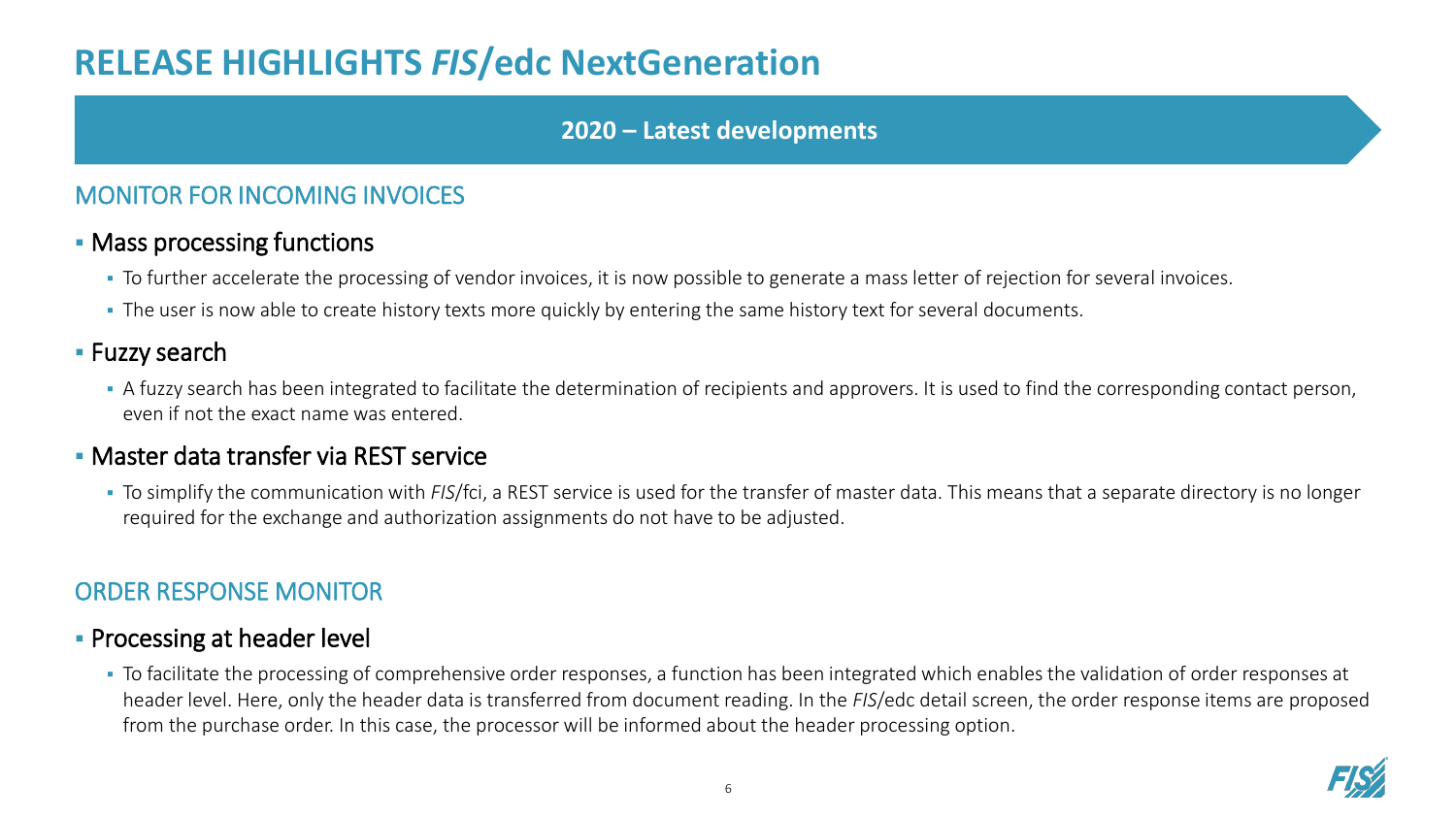## **RELEASE HIGHLIGHTS** *FIS***/edc NextGeneration**

#### **2020 – Latest developments**

#### MONITOR FOR INCOMING INVOICES

#### **• Mass processing functions**

- To further accelerate the processing of vendor invoices, it is now possible to generate a mass letter of rejection for several invoices.
- **The user is now able to create history texts more quickly by entering the same history text for several documents.**

#### **E** Fuzzy search

**•** A fuzzy search has been integrated to facilitate the determination of recipients and approvers. It is used to find the corresponding contact person, even if not the exact name was entered.

#### **· Master data transfer via REST service**

▪ To simplify the communication with *FIS*/fci, a REST service is used for the transfer of master data. This means that a separate directory is no longer required for the exchange and authorization assignments do not have to be adjusted.

#### ORDER RESPONSE MONITOR

#### **• Processing at header level**

▪ To facilitate the processing of comprehensive order responses, a function has been integrated which enables the validation of order responses at header level. Here, only the header data is transferred from document reading. In the *FIS*/edc detail screen, the order response items are proposed from the purchase order. In this case, the processor will be informed about the header processing option.

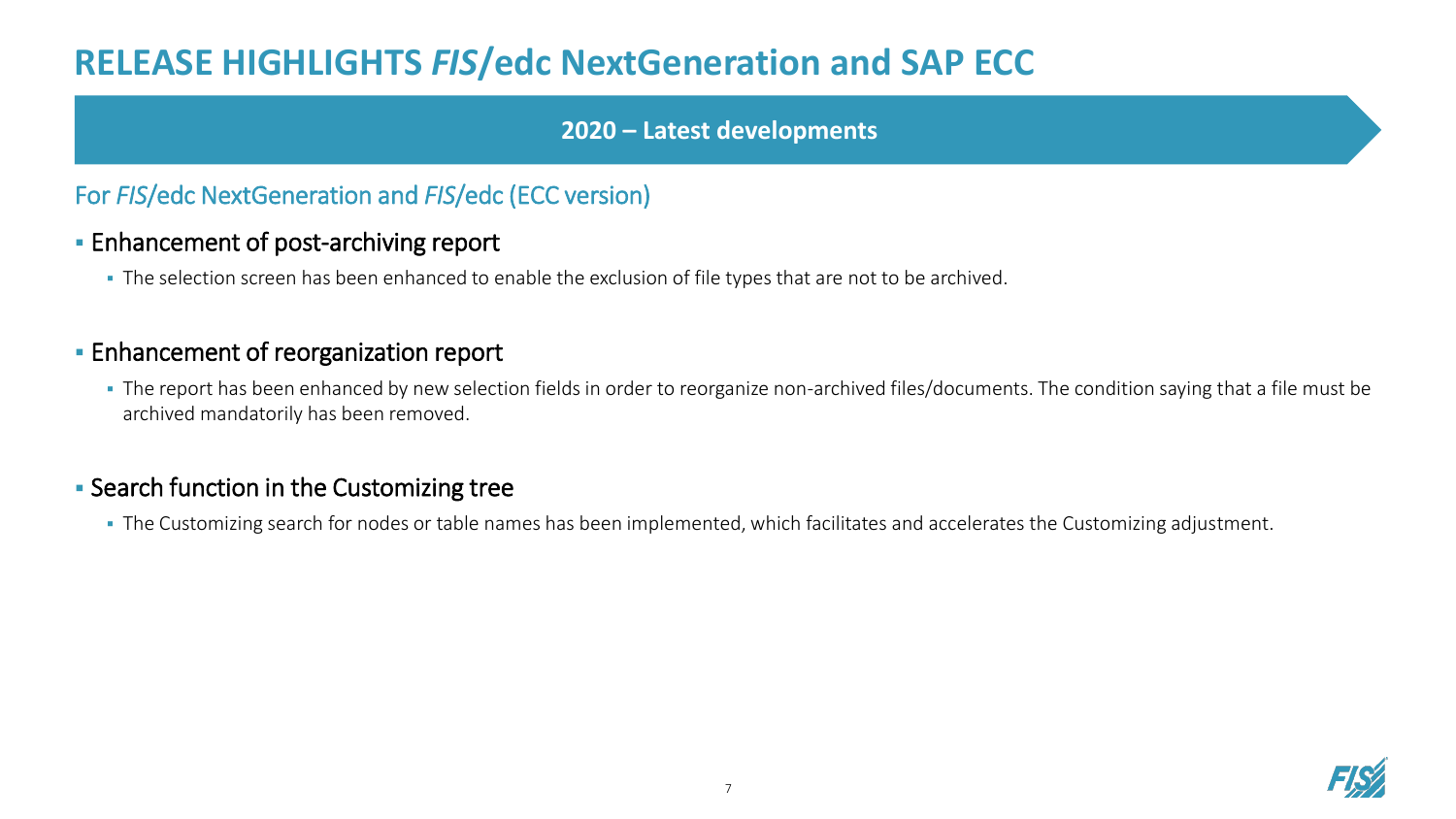## **RELEASE HIGHLIGHTS** *FIS***/edc NextGeneration and SAP ECC**

#### **2020 – Latest developments**

#### For *FIS*/edc NextGeneration and *FIS*/edc (ECC version)

#### **Enhancement of post-archiving report**

▪ The selection screen has been enhanced to enable the exclusion of file types that are not to be archived.

#### **Enhancement of reorganization report**

• The report has been enhanced by new selection fields in order to reorganize non-archived files/documents. The condition saying that a file must be archived mandatorily has been removed.

#### **EXEC** Search function in the Customizing tree

▪ The Customizing search for nodes or table names has been implemented, which facilitates and accelerates the Customizing adjustment.